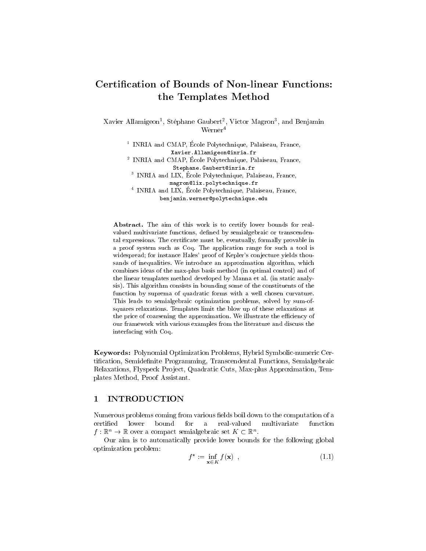# Certication of Bounds of Non-linear Functions: the Templates Method

Xavier Allamigeon<sup>1</sup>, Stéphane Gaubert<sup>2</sup>, Victor Magron<sup>3</sup>, and Benjamin  $Werner<sup>4</sup>$ 

> <sup>1</sup> INRIA and CMAP, École Polytechnique, Palaiseau, France, Xavier.Allamigeon@inria.fr

> <sup>2</sup> INRIA and CMAP, École Polytechnique, Palaiseau, France, Stephane.Gaubert@inria.fr

<sup>3</sup> INRIA and LIX, Ecole Polytechnique, Palaiseau, France, magron@lix.polytechnique.fr

<sup>4</sup> INRIA and LIX, École Polytechnique, Palaiseau, France, benjamin.werner@polytechnique.edu

Abstract. The aim of this work is to certify lower bounds for realvalued multivariate functions, defined by semialgebraic or transcendental expressions. The certicate must be, eventually, formally provable in a proof system such as Coq. The application range for such a tool is widespread; for instance Hales' proof of Kepler's conjecture yields thousands of inequalities. We introduce an approximation algorithm, which combines ideas of the max-plus basis method (in optimal control) and of the linear templates method developed by Manna et al. (in static analysis). This algorithm consists in bounding some of the constituents of the function by suprema of quadratic forms with a well chosen curvature. This leads to semialgebraic optimization problems, solved by sum-ofsquares relaxations. Templates limit the blow up of these relaxations at the price of coarsening the approximation. We illustrate the efficiency of our framework with various examples from the literature and discuss the interfacing with Coq.

Keywords: Polynomial Optimization Problems, Hybrid Symbolic-numeric Certification, Semidefinite Programming, Transcendental Functions, Semialgebraic Relaxations, Flyspeck Project, Quadratic Cuts, Max-plus Approximation, Templates Method, Proof Assistant.

## 1 INTRODUCTION

Numerous problems coming from various fields boil down to the computation of a certied lower bound for a real-valued multivariate function  $f: \mathbb{R}^n \to \mathbb{R}$  over a compact semialgebraic set  $K \subset \mathbb{R}^n$ .

Our aim is to automatically provide lower bounds for the following global optimization problem:

<span id="page-0-0"></span>
$$
f^* := \inf_{\mathbf{x} \in K} f(\mathbf{x}) \tag{1.1}
$$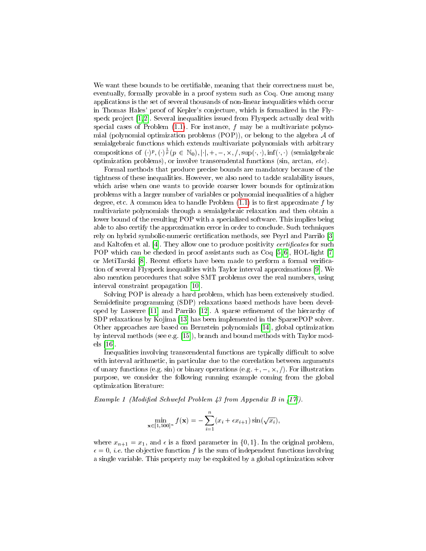We want these bounds to be certifiable, meaning that their correctness must be, eventually, formally provable in a proof system such as Coq. One among many applications is the set of several thousands of non-linear inequalities which occur in Thomas Hales' proof of Kepler's conjecture, which is formalized in the Flyspeck project [\[1,](#page-12-0) [2\]](#page-13-0). Several inequalities issued from Flyspeck actually deal with special cases of Problem  $(1.1)$ . For instance, f may be a multivariate polynomial (polynomial optimization problems  $(POP)$ ), or belong to the algebra A of semialgebraic functions which extends multivariate polynomials with arbitrary compositions of  $(.)^p, (.)^{\frac{1}{p}}(p \in \mathbb{N}_0), |.|,+,-,\times,/,\sup(.,.),\inf(.,.)$  (semialgebraic optimization problems), or involve transcendental functions (sin, arctan, etc).

Formal methods that produce precise bounds are mandatory because of the tightness of these inequalities. However, we also need to tackle scalability issues, which arise when one wants to provide coarser lower bounds for optimization problems with a larger number of variables or polynomial inequalities of a higher degree, etc. A common idea to handle Problem  $(1.1)$  is to first approximate  $f$  by multivariate polynomials through a semialgebraic relaxation and then obtain a lower bound of the resulting POP with a specialized software. This implies being able to also certify the approximation error in order to conclude. Such techniques rely on hybrid symbolic-numeric certication methods, see Peyrl and Parrilo [\[3\]](#page-13-1) and Kaltofen et al.  $[4]$ . They allow one to produce positivity *certificates* for such POP which can be checked in proof assistants such as Coq [\[5,](#page-13-3) [6\]](#page-13-4), HOL-light [\[7\]](#page-13-5) or MetiTarski [\[8\]](#page-13-6). Recent efforts have been made to perform a formal verification of several Flyspeck inequalities with Taylor interval approximations [\[9\]](#page-13-7). We also mention procedures that solve SMT problems over the real numbers, using interval constraint propagation [\[10\]](#page-13-8).

Solving POP is already a hard problem, which has been extensively studied. Semidefinite programming (SDP) relaxations based methods have been developed by Lasserre [\[11\]](#page-13-9) and Parrilo [\[12\]](#page-13-10). A sparse renement of the hierarchy of SDP relaxations by Kojima [\[13\]](#page-13-11) has been implemented in the SparsePOP solver. Other approaches are based on Bernstein polynomials [\[14\]](#page-13-12), global optimization by interval methods (see e.g. [\[15\]](#page-13-13)), branch and bound methods with Taylor models [\[16\]](#page-13-14).

Inequalities involving transcendental functions are typically difficult to solve with interval arithmetic, in particular due to the correlation between arguments of unary functions (e.g. sin) or binary operations (e.g.  $+,-,\times,$  /). For illustration purpose, we consider the following running example coming from the global optimization literature:

Example 1 (Modified Schwefel Problem 43 from Appendix B in [\[17\]](#page-13-15)).

<span id="page-1-0"></span>
$$
\min_{\mathbf{x}\in[1,500]^n}f(\mathbf{x})=-\sum_{i=1}^n(x_i+\epsilon x_{i+1})\sin(\sqrt{x_i}),
$$

where  $x_{n+1} = x_1$ , and  $\epsilon$  is a fixed parameter in  $\{0, 1\}$ . In the original problem,  $\epsilon = 0$ , *i.e.* the objective function f is the sum of independent functions involving a single variable. This property may be exploited by a global optimization solver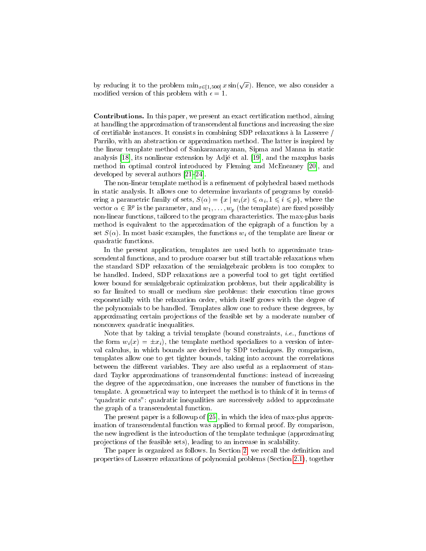by reducing it to the problem  $\min_{x \in [1,500]} x \sin(\sqrt{x})$ . Hence, we also consider a modified version of this problem with  $\epsilon = 1$ .

**Contributions.** In this paper, we present an exact certification method, aiming at handling the approximation of transcendental functions and increasing the size of certiable instances. It consists in combining SDP relaxations a la Lasserre / Parrilo, with an abstraction or approximation method. The latter is inspired by the linear template method of Sankaranarayanan, Sipma and Manna in static analysis [\[18\]](#page-14-0), its nonlinear extension by Adje et al. [\[19\]](#page-14-1), and the maxplus basis method in optimal control introduced by Fleming and McEneaney [\[20\]](#page-14-2), and developed by several authors  $[21{-}24]$  $[21{-}24]$ .

The non-linear template method is a refinement of polyhedral based methods in static analysis. It allows one to determine invariants of programs by considering a parametric family of sets,  $S(\alpha) = \{x \mid w_i(x) \leqslant \alpha_i, 1 \leqslant i \leqslant p\}$ , where the vector  $\alpha \in \mathbb{R}^p$  is the parameter, and  $w_1, \ldots, w_p$  (the template) are fixed possibly non-linear functions, tailored to the program characteristics. The max-plus basis method is equivalent to the approximation of the epigraph of a function by a set  $S(\alpha)$ . In most basic examples, the functions  $w_i$  of the template are linear or quadratic functions.

In the present application, templates are used both to approximate transcendental functions, and to produce coarser but still tractable relaxations when the standard SDP relaxation of the semialgebraic problem is too complex to be handled. Indeed, SDP relaxations are a powerful tool to get tight certied lower bound for semialgebraic optimization problems, but their applicability is so far limited to small or medium size problems: their execution time grows exponentially with the relaxation order, which itself grows with the degree of the polynomials to be handled. Templates allow one to reduce these degrees, by approximating certain projections of the feasible set by a moderate number of nonconvex quadratic inequalities.

Note that by taking a trivial template (bound constraints, i.e., functions of the form  $w_i(x) = \pm x_i$ , the template method specializes to a version of interval calculus, in which bounds are derived by SDP techniques. By comparison, templates allow one to get tighter bounds, taking into account the correlations between the different variables. They are also useful as a replacement of standard Taylor approximations of transcendental functions: instead of increasing the degree of the approximation, one increases the number of functions in the template. A geometrical way to interpret the method is to think of it in terms of \quadratic cuts": quadratic inequalities are successively added to approximate the graph of a transcendental function.

The present paper is a followup of [\[25\]](#page-14-5), in which the idea of max-plus approximation of transcendental function was applied to formal proof. By comparison, the new ingredient is the introduction of the template technique (approximating projections of the feasible sets), leading to an increase in scalability.

The paper is organized as follows. In Section [2,](#page-3-0) we recall the definition and properties of Lasserre relaxations of polynomial problems (Section [2.1\)](#page-3-1), together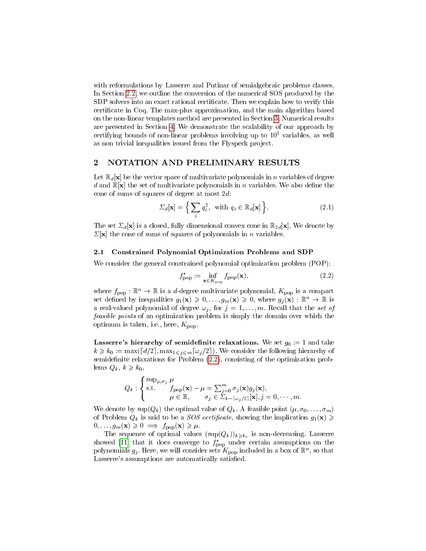with reformulations by Lasserre and Putinar of semialgebraic problems classes. In Section [2.2,](#page-4-0) we outline the conversion of the numerical SOS produced by the SDP solvers into an exact rational certicate. Then we explain how to verify this certicate in Coq. The max-plus approximation, and the main algorithm based on the non-linear templates method are presented in Section [3.](#page-4-1) Numerical results are presented in Section [4.](#page-9-0) We demonstrate the scalability of our approach by certifying bounds of non-linear problems involving up to  $10<sup>3</sup>$  variables, as well as non trivial inequalities issued from the Flyspeck project.

#### <span id="page-3-0"></span>2 NOTATION AND PRELIMINARY RESULTS

Let  $\mathbb{R}_d[\mathbf{x}]$  be the vector space of multivariate polynomials in n variables of degree d and  $\mathbb{R}[\mathbf{x}]$  the set of multivariate polynomials in n variables. We also define the cone of sums of squares of degree at most 2d:

$$
\Sigma_d[\mathbf{x}] = \left\{ \sum_i q_i^2, \text{ with } q_i \in \mathbb{R}_d[\mathbf{x}] \right\}. \tag{2.1}
$$

The set  $\Sigma_d[x]$  is a closed, fully dimensional convex cone in  $\mathbb{R}_{2d}[x]$ . We denote by  $\Sigma[\mathbf{x}]$  the cone of sums of squares of polynomials in *n* variables.

#### <span id="page-3-1"></span>2.1 Constrained Polynomial Optimization Problems and SDP

We consider the general constrained polynomial optimization problem (POP):

<span id="page-3-2"></span>
$$
f_{\text{pop}}^* := \inf_{\mathbf{x} \in K_{\text{pop}}} f_{\text{pop}}(\mathbf{x}), \tag{2.2}
$$

where  $f_{\text{pop}} : \mathbb{R}^n \to \mathbb{R}$  is a d-degree multivariate polynomial,  $K_{\text{pop}}$  is a compact set defined by inequalities  $g_1(\mathbf{x}) \geqslant 0, \ldots, g_m(\mathbf{x}) \geqslant 0$ , where  $g_j(\mathbf{x}) : \mathbb{R}^n \to \mathbb{R}$  is a real-valued polynomial of degree  $\omega_j$ , for  $j = 1, \ldots, m$ . Recall that the set of feasible points of an optimization problem is simply the domain over which the optimum is taken, i.e., here,  $K_{\text{pop}}$ .

**Lasserre's hierarchy of semidefinite relaxations.** We set  $g_0 := 1$  and take  $k \geqslant k_0 := \max(\lceil d/2 \rceil, \max_{1 \leqslant j \leqslant m} \lceil \omega_j/2 \rceil)$ . We consider the following hierarchy of semidefinite relaxations for Problem  $(2.2)$ , consisting of the optimization problems  $Q_k, k \geq k_0$ ,

$$
Q_k: \begin{cases} \sup_{\mu,\sigma_j} \mu \\ \text{s.t.} & f_{\text{pop}}(\mathbf{x}) - \mu = \sum_{j=0}^m \sigma_j(\mathbf{x}) g_j(\mathbf{x}), \\ \mu \in \mathbb{R}, & \sigma_j \in \Sigma_{k - \lceil \omega_j / 2 \rceil}[\mathbf{x}], j = 0, \cdots, m. \end{cases}
$$

We denote by  $\sup(Q_k)$  the optimal value of  $Q_k$ . A feasible point  $(\mu, \sigma_0, \ldots, \sigma_m)$ of Problem  $Q_k$  is said to be a *SOS certificate*, showing the implication  $g_1(\mathbf{x}) \geq$  $0, \ldots, g_m(\mathbf{x}) \geq 0 \implies f_{\text{pop}}(\mathbf{x}) \geq \mu.$ 

The sequence of optimal values  $(\sup(Q_k))_{k\geqslant k_0}$  is non-decreasing. Lasserre showed [\[11\]](#page-13-9) that it does converge to  $f^*_{\text{pop}}$  under certain assumptions on the polynomials  $g_j$ . Here, we will consider sets  $K_{\text{pop}}$  included in a box of  $\mathbb{R}^n$ , so that Lasserre's assumptions are automatically satisfied.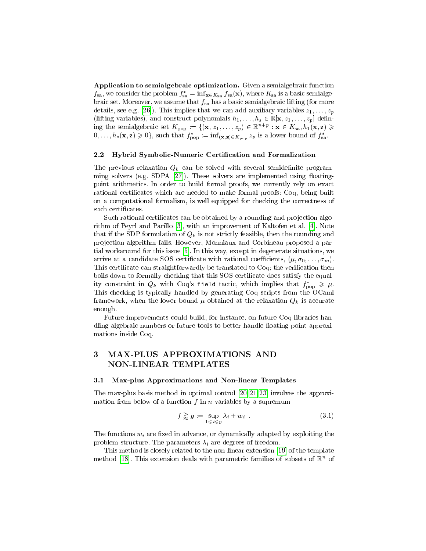<span id="page-4-3"></span>Application to semialgebraic optimization. Given a semialgebraic function  $f_{\rm sa}$ , we consider the problem  $f_{\rm sa}^* = \inf_{\mathbf{x} \in K_{\rm Sa}} f_{\rm sa}(\mathbf{x})$ , where  $K_{\rm sa}$  is a basic semialgebraic set. Moreover, we assume that  $f_{sa}$  has a basic semialgebraic lifting (for more details, see e.g. [\[26\]](#page-14-6)). This implies that we can add auxiliary variables  $z_1, \ldots, z_p$ (lifting variables), and construct polynomials  $h_1, \ldots, h_s \in \mathbb{R}[\mathbf{x}, z_1, \ldots, z_p]$  defining the semialgebraic set  $K_{\text{pop}} := \{(\mathbf{x}, z_1, \ldots, z_p) \in \mathbb{R}^{n+p} : \mathbf{x} \in K_{\text{sa}}, h_1(\mathbf{x}, \mathbf{z}) \geqslant \}$  $0,\ldots,h_s(\mathbf{x},\mathbf{z})\geqslant 0\},\$  such that  $f^*_{\text{pop}} := \inf_{(\mathbf{x},\mathbf{z})\in K_{\text{pop}}} z_p$  is a lower bound of  $f^*_{\text{sa}}$ .

#### <span id="page-4-0"></span>2.2 Hybrid Symbolic-Numeric Certication and Formalization

The previous relaxation  $Q_k$  can be solved with several semidefinite programming solvers (e.g. SDPA  $[27]$ ). These solvers are implemented using floatingpoint arithmetics. In order to build formal proofs, we currently rely on exact rational certicates which are needed to make formal proofs: Coq, being built on a computational formalism, is well equipped for checking the correctness of such certificates.

Such rational certificates can be obtained by a rounding and projection algorithm of Peyrl and Parillo [\[3\]](#page-13-1), with an improvement of Kaltofen et al. [\[4\]](#page-13-2). Note that if the SDP formulation of  $Q_k$  is not strictly feasible, then the rounding and projection algorithm fails. However, Monniaux and Corbineau proposed a partial workaround for this issue [\[5\]](#page-13-3). In this way, except in degenerate situations, we arrive at a candidate SOS certificate with rational coefficients,  $(\mu, \sigma_0, \ldots, \sigma_m)$ . This certificate can straightforwardly be translated to Coq; the verification then boils down to formally checking that this SOS certificate does satisfy the equality constraint in  $Q_k$  with Coq's field tactic, which implies that  $f^*_{\text{pop}} \geq \mu$ . This checking is typically handled by generating Coq scripts from the OCaml framework, when the lower bound  $\mu$  obtained at the relaxation  $Q_k$  is accurate enough.

Future improvements could build, for instance, on future Coq libraries handling algebraic numbers or future tools to better handle floating point approximations inside Coq.

# <span id="page-4-1"></span>3 MAX-PLUS APPROXIMATIONS AND NON-LINEAR TEMPLATES

#### 3.1 Max-plus Approximations and Non-linear Templates

The max-plus basis method in optimal control [\[20,](#page-14-2) [21,](#page-14-3) [23\]](#page-14-8) involves the approximation from below of a function  $f$  in  $n$  variables by a supremum

<span id="page-4-2"></span>
$$
f \gtrapprox g := \sup_{1 \leq i \leq p} \lambda_i + w_i \tag{3.1}
$$

The functions  $w_i$  are fixed in advance, or dynamically adapted by exploiting the problem structure. The parameters  $\lambda_i$  are degrees of freedom.

This method is closely related to the non-linear extension [\[19\]](#page-14-1) of the template method [\[18\]](#page-14-0). This extension deals with parametric families of subsets of  $\mathbb{R}^n$  of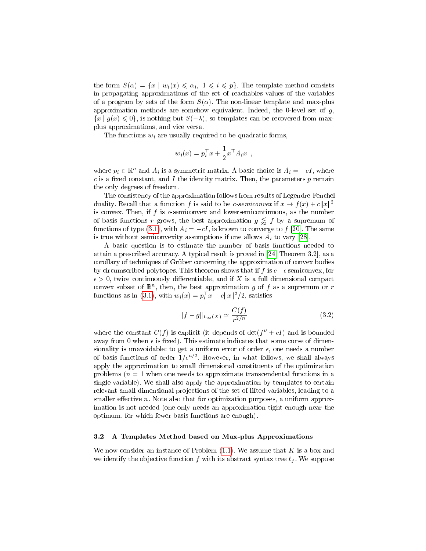the form  $S(\alpha) = \{x \mid w_i(x) \leqslant \alpha_i, 1 \leqslant i \leqslant p\}$ . The template method consists in propagating approximations of the set of reachables values of the variables of a program by sets of the form  $S(\alpha)$ . The non-linear template and max-plus approximation methods are somehow equivalent. Indeed, the 0-level set of  $g$ ,  ${x | g(x) \leq 0}$ , is nothing but  $S(-\lambda)$ , so templates can be recovered from maxplus approximations, and vice versa.

The functions  $w_i$  are usually required to be quadratic forms,

$$
w_i(x) = p_i^{\top} x + \frac{1}{2} x^{\top} A_i x ,
$$

where  $p_i \in \mathbb{R}^n$  and  $A_i$  is a symmetric matrix. A basic choice is  $A_i = -cI$ , where  $c$  is a fixed constant, and  $I$  the identity matrix. Then, the parameters  $p$  remain the only degrees of freedom.

The consistency of the approximation follows from results of Legendre-Fenchel duality. Recall that a function f is said to be *c*-semiconvex if  $x \mapsto f(x) + c||x||^2$ is convex. Then, if  $f$  is  $c$ -semiconvex and lowersemicontinuous, as the number of basis functions r grows, the best approximation  $g \leq f$  by a supremum of functions of type [\(3.1\)](#page-4-2), with  $A_i = -cI$ , is known to converge to f [\[20\]](#page-14-2). The same is true without semiconvexity assumptions if one allows  $A_i$  to vary [\[28\]](#page-14-9).

A basic question is to estimate the number of basis functions needed to attain a prescribed accuracy. A typical result is proved in [\[24,](#page-14-4) Theorem 3.2], as a corollary of techniques of Gruber concerning the approximation of convex bodies by circumscribed polytopes. This theorem shows that if f is  $c - \epsilon$  semiconvex, for  $\epsilon > 0$ , twice continuously differentiable, and if X is a full dimensional compact convex subset of  $\mathbb{R}^n$ , then, the best approximation g of f as a supremum or r functions as in [\(3.1\)](#page-4-2), with  $w_i(x) = p_i^{\top} x - c ||x||^2 / 2$ , satisfies

$$
||f - g||_{L_{\infty}(X)} \simeq \frac{C(f)}{r^{2/n}} \tag{3.2}
$$

where the constant  $C(f)$  is explicit (it depends of  $\det(f'' + cI)$  and is bounded away from 0 when  $\epsilon$  is fixed). This estimate indicates that some curse of dimensionality is unavoidable: to get a uniform error of order  $\epsilon$ , one needs a number of basis functions of order  $1/e^{n/2}$ . However, in what follows, we shall always apply the approximation to small dimensional constituents of the optimization problems  $(n = 1$  when one needs to approximate transcendental functions in a single variable). We shall also apply the approximation by templates to certain relevant small dimensional projections of the set of lifted variables, leading to a smaller effective n. Note also that for optimization purposes, a uniform approximation is not needed (one only needs an approximation tight enough near the optimum, for which fewer basis functions are enough).

#### 3.2 A Templates Method based on Max-plus Approximations

We now consider an instance of Problem  $(1.1)$ . We assume that K is a box and we identify the objective function f with its abstract syntax tree  $t_f$ . We suppose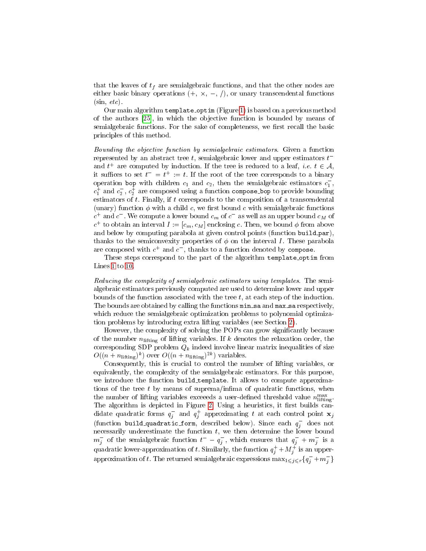that the leaves of  $t_f$  are semialgebraic functions, and that the other nodes are either basic binary operations  $(+, \times, -, /)$ , or unary transcendental functions  $(\sin, etc).$ 

Our main algorithm template optim (Figure [1\)](#page-7-0) is based on a previous method of the authors [\[25\]](#page-14-5), in which the objective function is bounded by means of semialgebraic functions. For the sake of completeness, we first recall the basic principles of this method.

Bounding the objective function by semialgebraic estimators. Given a function represented by an abstract tree t, semialgebraic lower and upper estimators  $t$ and  $t^+$  are computed by induction. If the tree is reduced to a leaf, *i.e.*  $t \in A$ , it suffices to set  $t^- = t^+ := t$ . If the root of the tree corresponds to a binary operation bop with children  $c_1$  and  $c_2$ , then the semialgebraic estimators  $c_1^-,$  $c_{1}^{+}$  and  $c_{2}^{-}$ ,  $c_{2}^{+}$  are composed using a function <code>compose\_bop</code> to provide bounding estimators of t. Finally, if t corresponds to the composition of a transcendental (unary) function  $\phi$  with a child c, we first bound c with semialgebraic functions  $c^{+}$  and  $c^{-}$ . We compute a lower bound  $c_{m}$  of  $c^{-}$  as well as an upper bound  $c_{M}$  of  $c^+$  to obtain an interval  $I := [c_m, c_M]$  enclosing  $c$ . Then, we bound  $\phi$  from above and below by computing parabola at given control points (function build par), thanks to the semiconvexity properties of  $\phi$  on the interval I. These parabola are composed with  $c^{+}$  and  $c^{-},$  thanks to a function denoted by compose.

These steps correspond to the part of the algorithm template optim from Lines [1](#page-7-0) to [10](#page-7-0).

Reducing the complexity of semialgebraic estimators using templates. The semialgebraic estimators previously computed are used to determine lower and upper bounds of the function associated with the tree  $t$ , at each step of the induction. The bounds are obtained by calling the functions min\_sa and max\_sa respectively, which reduce the semialgebraic optimization problems to polynomial optimization problems by introducing extra lifting variables (see Section [2\)](#page-3-0).

However, the complexity of solving the POPs can grow signicantly because of the number  $n_{\text{lifting}}$  of lifting variables. If  $k$  denotes the relaxation order, the corresponding SDP problem  $Q_k$  indeed involve linear matrix inequalities of size  $O((n + n_{\text{lifting}})^k)$  over  $O((n + n_{\text{lifting}})^{2k})$  variables.

Consequently, this is crucial to control the number of lifting variables, or equivalently, the complexity of the semialgebraic estimators. For this purpose, we introduce the function build template. It allows to compute approximations of the tree  $t$  by means of suprema/infima of quadratic functions, when the number of lifting variables exceeeds a user-defined threshold value  $n_{\text{lifting}}^{\text{max}}$ . The algorithm is depicted in Figure [2.](#page-8-0) Using a heuristics, it first builds candidate quadratic forms  $q_j^-$  and  $q_j^+$  approximating t at each control point  $\mathbf{x}_j$ (function build\_quadratic\_form, described below). Since each  $q_j^-$  does not necessarily underestimate the function  $t$ , we then determine the lower bound  $m_j^-$  of the semialgebraic function  $t^- - q_j^-$ , which ensures that  $q_j^- + m_j^-$  is a quadratic lower-approximation of t. Similarly, the function  $q_j^+ + M_j^+$  is an upperapproximation of t. The returned semialgebraic expressions  $\max_{1 \leq j \leq r} \{q_j^- + m_j^-\}$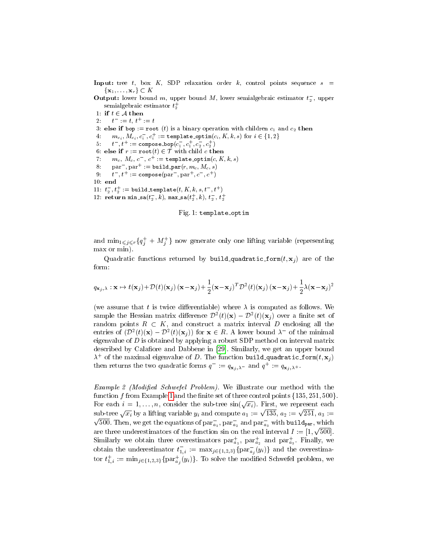<span id="page-7-0"></span>Input: tree t, box K, SDP relaxation order k, control points sequence  $s =$  $\{\mathbf x_1,\ldots,\mathbf x_r\}\subset K$ 

Output: lower bound m, upper bound M, lower semialgebraic estimator  $t_2^-$ , upper  $\,$ semialgebraic estimator  $t_2^+$ 

1: if  $t \in A$  then 2:  $t^- := t, t^+ := t$ 3: else if bop := root (t) is a binary operation with children  $c_1$  and  $c_2$  then 4:  $m_{c_i}, \overline{M}_{c_i}, c_i^-, c_i^+ := \texttt{template-optim}(c_i, K, k, s) \text{ for } i \in \{1, 2\}$  $5:$  $\overline{\phantom{a}}^-,t^+:=\mathtt{compose\_bop}(c_1^-,c_1^+,c_2^-,c_2^+)$ 6: else if  $r := \text{root}(t) \in \mathcal{T}$  with child c then  $7: \qquad m_c, M_c, c^-, c^+ := \texttt{template\_optim}(c, K, k, s)$  $8: \quad \quad \text{par}^-, \text{par}^+ := \texttt{build\_par}(r, m_c, M_c, s)$ 9:  $t^-, t^+ := \texttt{compose}(\texttt{par}^-, \texttt{par}^+, c^-, c^+)$ 10: end 11:  $t_2^-, t_2^+ := \texttt{build\_template}(t, K, k, s, t^-, t^+)$ 12:  $\mathbf{return}$  min\_sa $(t_2^-, \bar{k}),$  max\_sa $(t_2^+, \bar{k}), \, t_2^-, \, t_2^+$ 

#### Fig. 1: template optim

and  $\min_{1 \leq j \leq r} \{q_j^+ + M_j^+\}$  now generate only one lifting variable (representing max or min).

Quadratic functions returned by build quadratic form $(t, x_i)$  are of the form:

$$
q_{\mathbf{x}_j,\lambda}: \mathbf{x} \mapsto t(\mathbf{x}_j) + \mathcal{D}(t)(\mathbf{x}_j) (\mathbf{x} - \mathbf{x}_j) + \frac{1}{2} (\mathbf{x} - \mathbf{x}_j)^T \mathcal{D}^2(t) (\mathbf{x}_j) (\mathbf{x} - \mathbf{x}_j) + \frac{1}{2} \lambda (\mathbf{x} - \mathbf{x}_j)^2
$$

(we assume that t is twice differentiable) where  $\lambda$  is computed as follows. We sample the Hessian matrix difference  $\mathcal{D}^2(t)(\mathbf{x}) - \mathcal{D}^2(t)(\mathbf{x}_j)$  over a finite set of random points  $R \subset K$ , and construct a matrix interval D enclosing all the entries of  $(\mathcal{D}^2(t)(\mathbf{x}) - \mathcal{D}^2(t)(\mathbf{x}_j))$  for  $\mathbf{x} \in R$ . A lower bound  $\lambda^-$  of the minimal eigenvalue of  $D$  is obtained by applying a robust SDP method on interval matrix described by Calafiore and Dabbene in [\[29\]](#page-14-10). Similarly, we get an upper bound  $\lambda^+$  of the maximal eigenvalue of  $D.$  The function build quadratic form $(t,{\bf x}_j)$ then returns the two quadratic forms  $q^- := q_{\mathbf{x}_j,\lambda^-}$  and  $q^+ := q_{\mathbf{x}_j,\lambda^+}$ .

<span id="page-7-1"></span>Example 2 (Modified Schwefel Problem). We illustrate our method with the function f from Example [1](#page-1-0) and the finite set of three control points  $\{135, 251, 500\}$ For each  $i = 1, ..., n$ , consider the sub-tree  $\sin(\sqrt{x_i})$ . First, we represent each sub-tree  $\sqrt{x_i}$  by a lifting variable  $y_i$  and compute  $a_1 := \sqrt{135}$ ,  $a_2 := \sqrt{251}$ ,  $a_3 := \sqrt{255}$  $\overline{500}$ . Then, we get the equations of par<sub> $a_1$ </sub>, par $a_2$  and par $a_3$  with build<sub>par</sub>, which are three underestimators of the function sin on the real interval  $I := [1, \sqrt{500}]$ . Similarly we obtain three overestimators  $par_{a_1}^+$ ,  $par_{a_2}^+$  and  $par_{a_3}^+$ . Finally, we obtain the underestimator  $t_{1,i}^{-} := \max_{j \in \{1,2,3\}} \{\text{par}_{a_j}^{-}(y_i)\}\$  and the overestimator  $t_{1,i}^+ := \min_{j \in \{1,2,3\}} \{ \text{par}_{a_j}^+(y_i) \}$ . To solve the modified Schwefel problem, we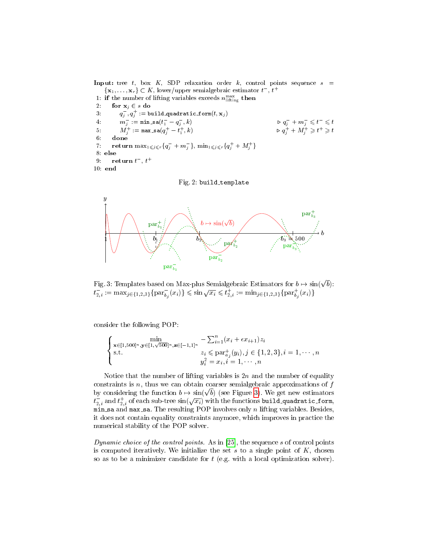<span id="page-8-0"></span>Input: tree t, box K, SDP relaxation order k, control points sequence  $s =$  $\{\mathbf x_1,\ldots,\mathbf x_r\}\subset K$ , lower/upper semialgebraic estimator  $t^-, t^+$ 

1: if the number of lifting variables exceeds  $n_{\text{lifting}}^{\text{max}}$  then

2: for  $x_j \in s$  do  $\mathrm{d} g_j^-, q_j^+ := \mathtt{build\_quadratic\_form}(t, \mathbf{x}_j)$ 4:  $m_j^- := \min \text{sa}(t_1^- - q_j^-, k)$   $\rightarrow q_j^$  $y_j^- + m_j^- \leqslant t^- \leqslant t$ 5:  $M_j^+ := \max \_{\texttt{sa}} (q_j^+ - t_1^+, k)$   $\rightarrow q_j^+$  $j^++M_j^+\geqslant t^+\geqslant t$ 6: done 7: return  $\max_{1 \leq j \leq r} \{q_j^- + m_j^- \}$ ,  $\min_{1 \leq j \leq r} \{q_j^+ + M_j^+ \}$ 8: else 9: return  $t^-, t^+$ 

10: end



<span id="page-8-1"></span>

Fig. 3: Templates based on Max-plus Semialgebraic Estimators for  $b \mapsto \sin(\sqrt{b})$ :  $t_{2,i}^{\perp} := \max_{j \in \{1,2,3\}} \{ \text{par}_{b_j}^{\perp}(x_i) \} \leqslant \sin \sqrt{x_i} \leqslant t_{2,i}^{\perp} := \min_{j \in \{1,2,3\}} \{ \text{par}_{b_j}^{\perp}(x_i) \}$ 

consider the following POP:

$$
\begin{cases}\n\min_{\mathbf{x}\in[1,500]^n,\mathbf{y}\in[1,\sqrt{500}]^n,\mathbf{z}\in[-1,1]^n} - \sum_{i=1}^n (x_i + \epsilon x_{i+1})z_i \\
\text{s.t.} & z_i \le \text{par}_{a_j}^+(y_i), j \in \{1,2,3\}, i=1,\cdots,n \\
y_i^2 = x_i, i = 1,\cdots,n\n\end{cases}
$$

Notice that the number of lifting variables is  $2n$  and the number of equality constraints is  $n$ , thus we can obtain coarser semialgebraic approximations of  $f$ constraints is n, thus we can obtain coarser semialgebraic approximations or  $J$  by considering the function  $b \mapsto \sin(\sqrt{b})$  (see Figure [3\)](#page-8-1). We get new estimators by considering the function  $\partial^+ \partial$  sin( $\nabla \partial$ ) (see Figure 5). We get how estimators  $t_{2,i}^-$  and  $t_{2,i}^+$  of each sub-tree  $\sin(\sqrt{x_i})$  with the functions build quadratic form,  $min$  sa and  $max$  sa. The resulting POP involves only n lifting variables. Besides, it does not contain equality constraints anymore, which improves in practice the numerical stability of the POP solver.

Dynamic choice of the control points. As in [\[25\]](#page-14-5), the sequence s of control points is computed iteratively. We initialize the set  $s$  to a single point of  $K$ , chosen so as to be a minimizer candidate for  $t$  (e.g. with a local optimization solver).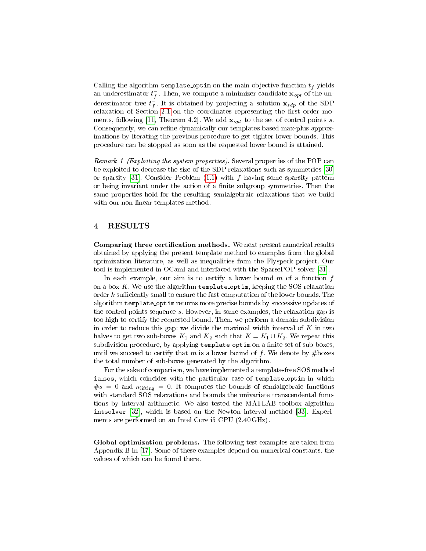Calling the algorithm template optim on the main objective function  $t_f$  yields an underestimator  $t_f^-$ . Then, we compute a minimizer candidate  $\mathbf{x}_{opt}$  of the underestimator tree  $t_f^-$ . It is obtained by projecting a solution  $\mathbf{x}_{sdp}$  of the SDP relaxation of Section [2.1](#page-4-3) on the coordinates representing the first order mo-ments, following [\[11,](#page-13-9) Theorem 4.2]. We add  $\mathbf{x}_{opt}$  to the set of control points s. Consequently, we can refine dynamically our templates based max-plus approximations by iterating the previous procedure to get tighter lower bounds. This procedure can be stopped as soon as the requested lower bound is attained.

Remark 1 (Exploiting the system properties). Several properties of the POP can be exploited to decrease the size of the SDP relaxations such as symmetries [\[30\]](#page-14-11) or sparsity [\[31\]](#page-14-12). Consider Problem  $(1.1)$  with f having some sparsity pattern or being invariant under the action of a finite subgroup symmetries. Then the same properties hold for the resulting semialgebraic relaxations that we build with our non-linear templates method.

#### <span id="page-9-0"></span>4 RESULTS

Comparing three certification methods. We next present numerical results obtained by applying the present template method to examples from the global optimization literature, as well as inequalities from the Flyspeck project. Our tool is implemented in OCaml and interfaced with the SparsePOP solver [\[31\]](#page-14-12).

In each example, our aim is to certify a lower bound  $m$  of a function  $f$ on a box  $K$ . We use the algorithm template optim, keeping the SOS relaxation order  $k$  sufficiently small to ensure the fast computation of the lower bounds. The algorithm template optim returns more precise bounds by successive updates of the control points sequence s. However, in some examples, the relaxation gap is too high to certify the requested bound. Then, we perform a domain subdivision in order to reduce this gap: we divide the maximal width interval of  $K$  in two halves to get two sub-boxes  $K_1$  and  $K_2$  such that  $K = K_1 \cup K_2$ . We repeat this subdivision procedure, by applying template\_optim on a finite set of sub-boxes, until we succeed to certify that m is a lower bound of f. We denote by  $\#$ boxes the total number of sub-boxes generated by the algorithm.

For the sake of comparison, we have implemented a template-free SOS method ia\_sos, which coincides with the particular case of template\_optim in which  $\#s = 0$  and  $n_{\text{lifting}} = 0$ . It computes the bounds of semialgebraic functions with standard SOS relaxations and bounds the univariate transcendental functions by interval arithmetic. We also tested the MATLAB toolbox algorithm intsolver [\[32\]](#page-14-13), which is based on the Newton interval method [\[33\]](#page-14-14). Experiments are performed on an Intel Core i5 CPU (2:40 GHz).

Global optimization problems. The following test examples are taken from Appendix B in [\[17\]](#page-13-15). Some of these examples depend on numerical constants, the values of which can be found there.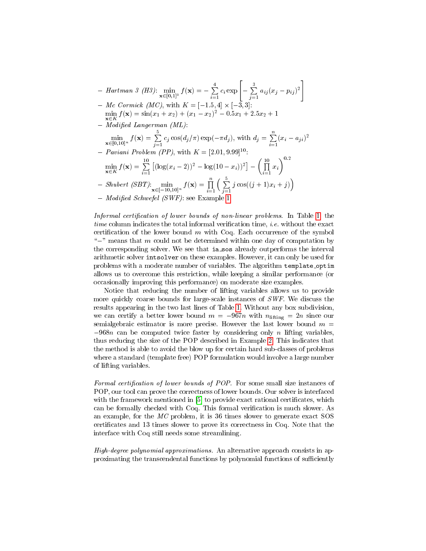- $-$  Hartman 3 (H3):  $\min_{\mathbf{x}\in[0,1]^3} f(\mathbf{x}) = -\sum_{i=1}^4$  $\sum_{i=1}^{4} c_i \exp \left[-\sum_{j=1}^{3} \right]$  $\sum_{j=1}^{3} a_{ij} (x_j - p_{ij})^2$  $-$  *Mc Cormick (MC)*, with  $K = [-1.5, 4] \times [-3, 3]$ :
- $\min_{\mathbf{x} \in K} f(\mathbf{x}) = \sin(x_1 + x_2) + (x_1 x_2)^2 0.5x_1 + 2.5x_2 + 1$
- $-$  Modified Langerman (ML):  $\min_{\mathbf{x}\in[0,10]^n}f(\mathbf{x})=\sum_{i=1}^5$  $\sum_{j=1}^{5} c_j \cos(d_j/\pi) \exp(-\pi d_j)$ , with  $d_j = \sum_{i=1}^{n}$  $\sum_{i=1} (x_i - a_{ji})^2$
- $-$  *Paviani Problem (PP)*, with  $K = [2.01, 9.99]^{10}$ :

$$
\min_{\mathbf{x} \in K} f(\mathbf{x}) = \sum_{i=1}^{10} \left[ (\log(x_i - 2))^2 - \log(10 - x_i))^2 \right] - \left( \prod_{i=1}^{10} x_i \right)^{0.2}
$$

$$
- \text{ Shubert (SBT):} \min_{\mathbf{x} \in [-10, 10]^n} f(\mathbf{x}) = \prod_{i=1}^n \left( \sum_{j=1}^5 j \cos((j+1)x_i + j) \right)
$$

 $-$  *Modified Schwefel (SWF)*: see Example [1](#page-1-0)

Informal certification of lower bounds of non-linear problems. In Table [1,](#page-11-0) the  $time$  column indicates the total informal verification time, *i.e.* without the exact certification of the lower bound  $m$  with Coq. Each occurrence of the symbol " $-$ " means that m could not be determined within one day of computation by the corresponding solver. We see that **ia\_sos** already outperforms the interval arithmetic solver intsolver on these examples. However, it can only be used for problems with a moderate number of variables. The algorithm template optim allows us to overcome this restriction, while keeping a similar performance (or occasionally improving this performance) on moderate size examples.

Notice that reducing the number of lifting variables allows us to provide more quickly coarse bounds for large-scale instances of SWF. We discuss the results appearing in the two last lines of Table [1.](#page-11-0) Without any box subdivision, we can certify a better lower bound  $m = -967n$  with  $n_{\text{lifting}} = 2n$  since our semialgebraic estimator is more precise. However the last lower bound  $m =$  $-968n$  can be computed twice faster by considering only n lifting variables, thus reducing the size of the POP described in Example [2.](#page-7-1) This indicates that the method is able to avoid the blow up for certain hard sub-classes of problems where a standard (template free) POP formulation would involve a large number of lifting variables.

Formal certification of lower bounds of POP. For some small size instances of POP, our tool can prove the correctness of lower bounds. Our solver is interfaced with the framework mentioned in  $[5]$  to provide exact rational certificates, which can be formally checked with Coq. This formal verication is much slower. As an example, for the MC problem, it is 36 times slower to generate exact SOS certicates and 13 times slower to prove its correctness in Coq. Note that the interface with Coq still needs some streamlining.

High-degree polynomial approximations. An alternative approach consists in approximating the transcendental functions by polynomial functions of sufficiently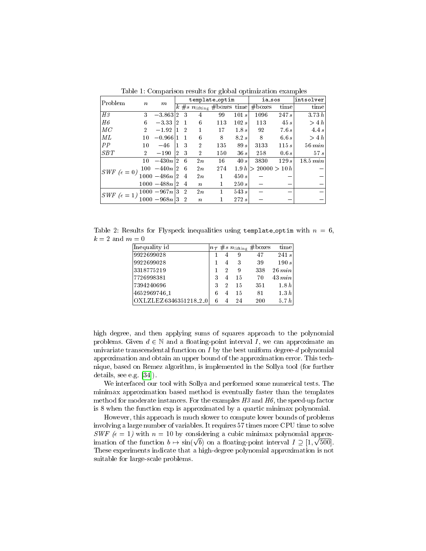<span id="page-11-0"></span>

| Problem                     | $\boldsymbol{n}$ | $\boldsymbol{m}$  | rapio 1. Comparison results for grobal openingation champios<br>template_optim |                |                  |     |       | ia_sos                                       |       | intsolver |
|-----------------------------|------------------|-------------------|--------------------------------------------------------------------------------|----------------|------------------|-----|-------|----------------------------------------------|-------|-----------|
|                             |                  |                   |                                                                                |                |                  |     |       | k #s $n_{\text{lifting}}$ #boxes time #boxes | time  | time      |
| H3                          | 3                | $-3.863 2$        |                                                                                | -3             | 4                | 99  | 101 s | 1096                                         | 247 s | 3.73h     |
| H6                          | 6                | $-3.33$           | $2^{\circ}$                                                                    | $\overline{1}$ | 6                | 113 | 102s  | 113                                          | 45s   | > 4h      |
| MC                          | $\overline{2}$   | $-1.92$           | 1                                                                              | $\overline{2}$ | 1                | 17  | 1.8 s | 92                                           | 7.6 s | 4.4s      |
| МL                          | 10               | $-0.96611$        |                                                                                | $\mathbf{1}$   | 6                | 8   | 8.2 s | 8                                            | 6.6s  | > 4h      |
| PP                          | 10               | $-46$             |                                                                                | 3              | $\overline{2}$   | 135 | 89 s  | 3133                                         | 115s  | 56~min    |
| SBT                         | $\overline{2}$   | $-190$            | $\overline{2}$                                                                 | -3             | $\overline{2}$   | 150 | 36s   | 258                                          | 0.6 s | 57s       |
| $\textit{SWF}~(\epsilon=0)$ | 10               | $-430n 2$         |                                                                                | - 6            | $2\,n$           | 16  | 40 s  | 3830                                         | 129s  | 18.5 min  |
|                             | 100              | $-440n 2$         |                                                                                | - 6            | 2n               | 274 |       | $1.9 h$ $> 20000 > 10 h$                     |       |           |
|                             |                  | $1000 - 486n/2$   |                                                                                | $\overline{4}$ | $2\,n$           | 1   | 450 s |                                              |       |           |
|                             |                  | $1000 - 488n/2$   |                                                                                | $\overline{4}$ | $\boldsymbol{n}$ | 1   | 250 s |                                              |       |           |
| SWF $(\epsilon = 1)$        |                  | $1000 - 967n 3$   |                                                                                | $\overline{2}$ | 2n               | 1   | 543s  |                                              |       |           |
|                             |                  | $1000 - 968n/3$ 2 |                                                                                |                | $\boldsymbol{n}$ | 1   | 272s  |                                              |       |           |

Table 1: Comparison results for global optimization examples

<span id="page-11-1"></span>Table 2: Results for Flyspeck inequalities using template optim with  $n = 6$ ,  $k = 2$  and  $m = 0$ 

| Inequality id                                    |   |   |    | $ n\tau\#s\ n_{\text{lifting}}\ \#\text{boxes}$ | time        |
|--------------------------------------------------|---|---|----|-------------------------------------------------|-------------|
| 9922699028                                       |   |   | 9  | 47                                              | 241 s       |
| 9922699028                                       |   | 4 | 3  | 39                                              | 190 s       |
| 3318775219                                       |   | 2 | 9  | 338                                             | $26 \; min$ |
| 7726998381                                       | 3 | 4 | 15 | 70                                              | $43 \; min$ |
| 7394240696                                       | 3 | 2 | 15 | 351                                             | 1.8h        |
| 4652969746_1                                     |   | 4 | 15 | 81                                              | 1.3h        |
| OXLZLEZ 6346351218 <sub>-</sub> 2 <sub>-</sub> 0 |   |   | 24 | 200                                             | 5.7h        |

high degree, and then applying sums of squares approach to the polynomial problems. Given  $d \in \mathbb{N}$  and a floating-point interval I, we can approximate an univariate transcendental function on  $I$  by the best uniform degree- $d$  polynomial approximation and obtain an upper bound of the approximation error. This technique, based on Remez algorithm, is implemented in the Sollya tool (for further details, see e.g. [\[34\]](#page-15-0)).

We interfaced our tool with Sollya and performed some numerical tests. The minimax approximation based method is eventually faster than the templates method for moderate instances. For the examples  $H3$  and  $H6$ , the speed-up factor is 8 when the function exp is approximated by a quartic minimax polynomial.

However, this approach is much slower to compute lower bounds of problems involving a large number of variables. It requires 57 times more CPU time to solve  $SWF$  ( $\epsilon = 1$ ) with  $n = 10$  by considering a cubic minimax polynomial approx- $\mathcal{L}_{\mathcal{D}}$  is  $\mathcal{L}_{\mathcal{D}}$  is a function  $h \to \text{sin}(\sqrt{b})$  on a floating-point interval  $I \supseteq [1, \sqrt{500}]$ . These experiments indicate that a high-degree polynomial approximation is not suitable for large-scale problems.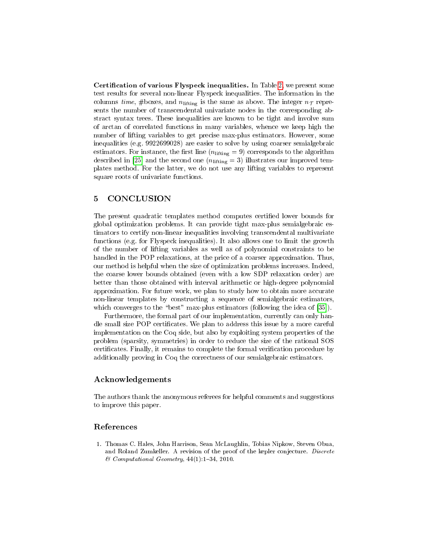Certification of various Flyspeck inequalities. In Table [2,](#page-11-1) we present some test results for several non-linear Flyspeck inequalities. The information in the columns time, #boxes, and  $n_{\text{lifting}}$  is the same as above. The integer  $n_{\tau}$  represents the number of transcendental univariate nodes in the corresponding abstract syntax trees. These inequalities are known to be tight and involve sum of arctan of correlated functions in many variables, whence we keep high the number of lifting variables to get precise max-plus estimators. However, some inequalities (e.g. 9922699028) are easier to solve by using coarser semialgebraic estimators. For instance, the first line  $(n_{\text{lifting}} = 9)$  corresponds to the algorithm described in [\[25\]](#page-14-5) and the second one  $(n_{\text{lifting}} = 3)$  illustrates our improved templates method. For the latter, we do not use any lifting variables to represent square roots of univariate functions.

# 5 CONCLUSION

The present quadratic templates method computes certied lower bounds for global optimization problems. It can provide tight max-plus semialgebraic estimators to certify non-linear inequalities involving transcendental multivariate functions (e.g. for Flyspeck inequalities). It also allows one to limit the growth of the number of lifting variables as well as of polynomial constraints to be handled in the POP relaxations, at the price of a coarser approximation. Thus, our method is helpful when the size of optimization problems increases. Indeed, the coarse lower bounds obtained (even with a low SDP relaxation order) are better than those obtained with interval arithmetic or high-degree polynomial approximation. For future work, we plan to study how to obtain more accurate non-linear templates by constructing a sequence of semialgebraic estimators, which converges to the "best" max-plus estimators (following the idea of  $[35]$ ).

Furthermore, the formal part of our implementation, currently can only handle small size POP certicates. We plan to address this issue by a more careful implementation on the Coq side, but also by exploiting system properties of the problem (sparsity, symmetries) in order to reduce the size of the rational SOS certicates. Finally, it remains to complete the formal verication procedure by additionally proving in Coq the correctness of our semialgebraic estimators.

## Acknowledgements

The authors thank the anonymous referees for helpful comments and suggestions to improve this paper.

## References

<span id="page-12-0"></span>1. Thomas C. Hales, John Harrison, Sean McLaughlin, Tobias Nipkow, Steven Obua, and Roland Zumkeller. A revision of the proof of the kepler conjecture. Discrete  $\&$  Computational Geometry, 44(1):1-34, 2010.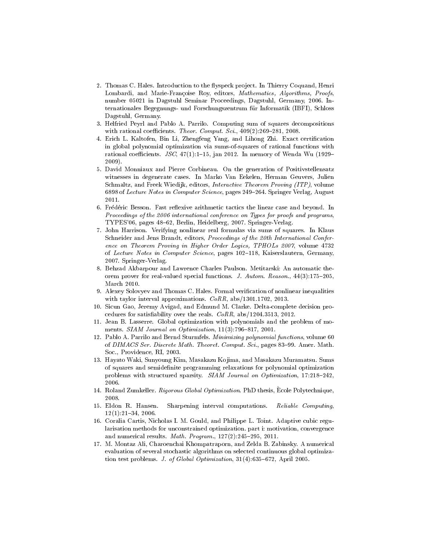- <span id="page-13-0"></span>2. Thomas C. Hales. Introduction to the flyspeck project. In Thierry Coquand, Henri Lombardi, and Marie-Françoise Roy, editors, Mathematics, Algorithms, Proofs, number 05021 in Dagstuhl Seminar Proceedings, Dagstuhl, Germany, 2006. Internationales Begegnungs- und Forschungszentrum fur Informatik (IBFI), Schloss Dagstuhl, Germany.
- <span id="page-13-1"></span>3. Helfried Peyrl and Pablo A. Parrilo. Computing sum of squares decompositions with rational coefficients. Theor. Comput. Sci.,  $409(2):269-281$ , 2008.
- <span id="page-13-2"></span>4. Erich L. Kaltofen, Bin Li, Zhengfeng Yang, and Lihong Zhi. Exact certication in global polynomial optimization via sums-of-squares of rational functions with rational coefficients. JSC,  $47(1):1{-}15$ , jan 2012. In memory of Wenda Wu (1929– 2009).
- <span id="page-13-3"></span>5. David Monniaux and Pierre Corbineau. On the generation of Positivstellensatz witnesses in degenerate cases. In Marko Van Eekelen, Herman Geuvers, Julien Schmaltz, and Freek Wiedijk, editors, Interactive Theorem Proving (ITP), volume 6898 of Lecture Notes in Computer Science, pages 249-264. Springer Verlag, August 2011.
- <span id="page-13-4"></span>6. Frédéric Besson. Fast reflexive arithmetic tactics the linear case and beyond. In Proceedings of the 2006 international conference on Types for proofs and programs, TYPES'06, pages 48-62, Berlin, Heidelberg, 2007. Springer-Verlag.
- <span id="page-13-5"></span>7. John Harrison. Verifying nonlinear real formulas via sums of squares. In Klaus Schneider and Jens Brandt, editors, Proceedings of the 20th International Conference on Theorem Proving in Higher Order Logics, TPHOLs 2007, volume 4732 of Lecture Notes in Computer Science, pages 102-118, Kaiserslautern, Germany, 2007. Springer-Verlag.
- <span id="page-13-6"></span>8. Behzad Akbarpour and Lawrence Charles Paulson. Metitarski: An automatic theorem prover for real-valued special functions. J. Autom. Reason.,  $44(3):175{-}205$ , March 2010.
- <span id="page-13-7"></span>9. Alexey Solovyev and Thomas C. Hales. Formal verication of nonlinear inequalities with taylor interval approximations.  $CoRR$ , abs/1301.1702, 2013.
- <span id="page-13-8"></span>10. Sicun Gao, Jeremy Avigad, and Edmund M. Clarke. Delta-complete decision procedures for satisfiability over the reals.  $CoRR$ , abs/1204.3513, 2012.
- <span id="page-13-9"></span>11. Jean B. Lasserre. Global optimization with polynomials and the problem of moments. SIAM Journal on Optimization,  $11(3)$ :796-817, 2001.
- <span id="page-13-10"></span>12. Pablo A. Parrilo and Bernd Sturmfels. Minimizing polynomial functions, volume 60 of DIMACS Ser. Discrete Math. Theoret. Comput. Sci., pages 83-99. Amer. Math. Soc., Providence, RI, 2003.
- <span id="page-13-11"></span>13. Hayato Waki, Sunyoung Kim, Masakazu Kojima, and Masakazu Muramatsu. Sums of squares and semidefinite programming relaxations for polynomial optimization problems with structured sparsity. SIAM Journal on Optimization, 17:218-242, 2006.
- <span id="page-13-12"></span>14. Roland Zumkeller. Rigorous Global Optimization. PhD thesis, Ecole Polytechnique, 2008.
- <span id="page-13-13"></span>15. Eldon R. Hansen. Sharpening interval computations. Reliable Computing,  $12(1):21{-}34, 2006.$
- <span id="page-13-14"></span>16. Coralia Cartis, Nicholas I. M. Gould, and Philippe L. Toint. Adaptive cubic regularisation methods for unconstrained optimization. part i: motivation, convergence and numerical results. Math. Program.,  $127(2):245{-}295$ , 2011.
- <span id="page-13-15"></span>17. M. Montaz Ali, Charoenchai Khompatraporn, and Zelda B. Zabinsky. A numerical evaluation of several stochastic algorithms on selected continuous global optimization test problems. J. of Global Optimization,  $31(4):635-672$ , April 2005.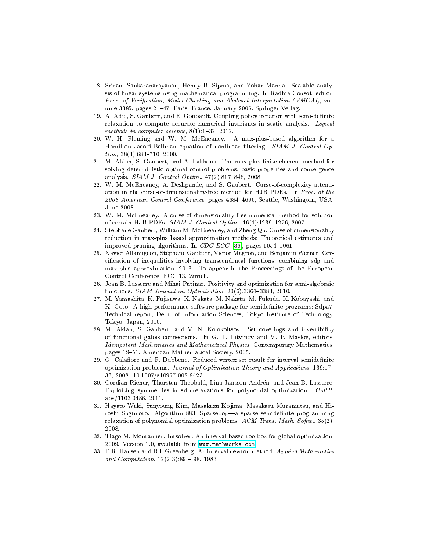- <span id="page-14-0"></span>18. Sriram Sankaranarayanan, Henny B. Sipma, and Zohar Manna. Scalable analysis of linear systems using mathematical programming. In Radhia Cousot, editor, Proc. of Verification, Model Checking and Abstract Interpretation (VMCAI), volume 3385, pages  $21-47$ , Paris, France, January 2005. Springer Verlag.
- <span id="page-14-1"></span>19. A. Adje, S. Gaubert, and E. Goubault. Coupling policy iteration with semi-definite relaxation to compute accurate numerical invariants in static analysis. Logical methods in computer science,  $8(1):1-32$ , 2012.
- <span id="page-14-2"></span>20. W. H. Fleming and W. M. McEneaney. A max-plus-based algorithm for a Hamilton-Jacobi-Bellman equation of nonlinear filtering. SIAM J. Control Op $tim., 38(3):683-710, 2000.$
- <span id="page-14-3"></span>21. M. Akian, S. Gaubert, and A. Lakhoua. The max-plus finite element method for solving deterministic optimal control problems: basic properties and convergence analysis.  $SIAM J. Control Optim.$ ,  $47(2):817-848$ , 2008.
- 22. W. M. McEneaney, A. Deshpande, and S. Gaubert. Curse-of-complexity attenuation in the curse-of-dimensionality-free method for HJB PDEs. In Proc. of the 2008 American Control Conference, pages 4684-4690, Seattle, Washington, USA, June 2008.
- <span id="page-14-8"></span>23. W. M. McEneaney. A curse-of-dimensionality-free numerical method for solution of certain HJB PDEs.  $SIAM$  J. Control Optim.,  $46(4):1239-1276$ , 2007.
- <span id="page-14-4"></span>24. Stephane Gaubert, William M. McEneaney, and Zheng Qu. Curse of dimensionality reduction in max-plus based approximation methods: Theoretical estimates and improved pruning algorithms. In  $CDC\_ECC$  [\[36\]](#page-15-2), pages 1054-1061.
- <span id="page-14-5"></span>25. Xavier Allamigeon, Stephane Gaubert, Victor Magron, and Benjamin Werner. Certification of inequalities involving transcendental functions: combining sdp and max-plus approximation, 2013. To appear in the Proceedings of the European Control Conference, ECC'13, Zurich.
- <span id="page-14-6"></span>26. Jean B. Lasserre and Mihai Putinar. Positivity and optimization for semi-algebraic functions.  $SIAM Journal on Optimization, 20(6):3364-3383, 2010.$
- <span id="page-14-7"></span>27. M. Yamashita, K. Fujisawa, K. Nakata, M. Nakata, M. Fukuda, K. Kobayashi, and K. Goto. A high-performance software package for semidefinite programs: Sdpa7. Technical report, Dept. of Information Sciences, Tokyo Institute of Technology, Tokyo, Japan, 2010.
- <span id="page-14-9"></span>28. M. Akian, S. Gaubert, and V. N. Kolokoltsov. Set coverings and invertibility of functional galois connections. In G. L. Litvinov and V. P. Maslov, editors, Idempotent Mathematics and Mathematical Physics, Contemporary Mathematics, pages 19-51. American Mathematical Society, 2005.
- <span id="page-14-10"></span>29. G. Calafiore and F. Dabbene. Reduced vertex set result for interval semidefinite optimization problems. Journal of Optimization Theory and Applications, 139:17-33, 2008. 10.1007/s10957-008-9423-1.
- <span id="page-14-11"></span>30. Cordian Riener, Thorsten Theobald, Lina Jansson Andren, and Jean B. Lasserre. Exploiting symmetries in sdp-relaxations for polynomial optimization. CoRR, abs/1103.0486, 2011.
- <span id="page-14-12"></span>31. Hayato Waki, Sunyoung Kim, Masakazu Kojima, Masakazu Muramatsu, and Hiroshi Sugimoto. Algorithm 883: Sparsepop-a sparse semidefinite programming relaxation of polynomial optimization problems. ACM Trans. Math.  $Softw, 35(2)$ , 2008.
- <span id="page-14-13"></span>32. Tiago M. Montanher. Intsolver: An interval based toolbox for global optimization, 2009. Version 1.0, available from [www.mathworks.com.](www.mathworks.com)
- <span id="page-14-14"></span>33. E.R. Hansen and R.I. Greenberg. An interval newton method. Applied Mathematics and *Computation*,  $12(2-3):89 - 98$ , 1983.